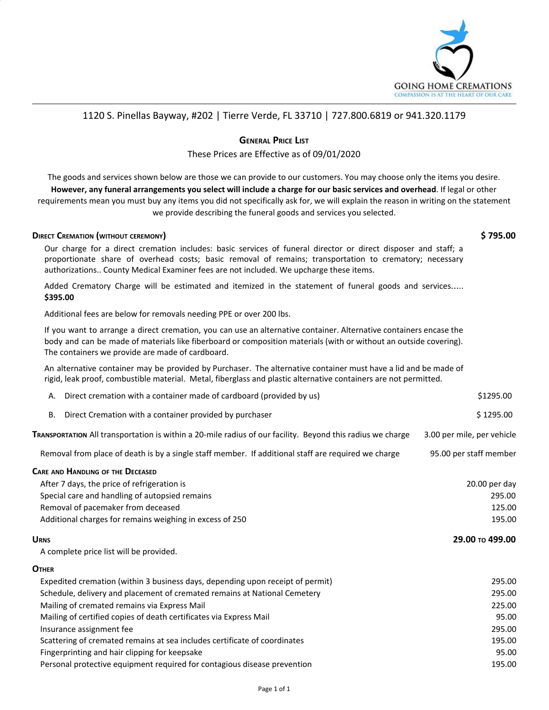

## 1120 S. Pinellas Bayway, #202 | Tierre Verde, FL 33710 | 727.800.6819 or 941.320.1179

### **GENERAL PRICE LIST**

### These Prices are Effective as of 09/01/2020

The goods and services shown below are those we can provide to our customers. You may choose only the items you desire. However, any funeral arrangements you select will include a charge for our basic services and overhead. If legal or other requirements mean you must buy any items you did not specifically ask for, we will explain the reason in writing on the statement we provide describing the funeral goods and services you selected.

#### **DIRECT CREMATION (WITHOUT CEREMONY) \$ 795.00**

Our charge for a direct cremation includes: basic services of funeral director or direct disposer and staff; a proportionate share of overhead costs; basic removal of remains; transportation to crematory; necessary authorizations.. County Medical Examiner fees are not included. We upcharge these items.

Added Crematory Charge will be estimated and itemized in the statement of funeral goods and services….. **\$395.00**

Additional fees are below for removals needing PPE or over 200 lbs.

If you want to arrange a direct cremation, you can use an alternative container. Alternative containers encase the body and can be made of materials like fiberboard or composition materials (with or without an outside covering). The containers we provide are made of cardboard.

An alternative container may be provided by Purchaser. The alternative container must have a lid and be made of rigid, leak proof, combustible material. Metal, fiberglass and plastic alternative containers are not permitted.

| Direct cremation with a container made of cardboard (provided by us)<br>А.                                 | \$1295.00                  |
|------------------------------------------------------------------------------------------------------------|----------------------------|
| Direct Cremation with a container provided by purchaser<br>В.                                              | \$1295.00                  |
| TRANSPORTATION All transportation is within a 20-mile radius of our facility. Beyond this radius we charge | 3.00 per mile, per vehicle |
| Removal from place of death is by a single staff member. If additional staff are required we charge        | 95.00 per staff member     |
| <b>CARE AND HANDLING OF THE DECEASED</b>                                                                   |                            |
| After 7 days, the price of refrigeration is                                                                | $20.00$ per day            |
| Special care and handling of autopsied remains                                                             | 295.00                     |
| Removal of pacemaker from deceased                                                                         | 125.00                     |
| Additional charges for remains weighing in excess of 250                                                   | 195.00                     |
| <b>URNS</b>                                                                                                | 29.00 то 499.00            |
| A complete price list will be provided.                                                                    |                            |
| <b>OTHER</b>                                                                                               |                            |
|                                                                                                            |                            |

| Expedited cremation (within 3 business days, depending upon receipt of permit) | 295.00 |
|--------------------------------------------------------------------------------|--------|
| Schedule, delivery and placement of cremated remains at National Cemetery      | 295.00 |
| Mailing of cremated remains via Express Mail                                   | 225.00 |
| Mailing of certified copies of death certificates via Express Mail             | 95.00  |
| Insurance assignment fee                                                       | 295.00 |
| Scattering of cremated remains at sea includes certificate of coordinates      | 195.00 |
| Fingerprinting and hair clipping for keepsake                                  | 95.00  |
| Personal protective equipment required for contagious disease prevention       | 195.00 |